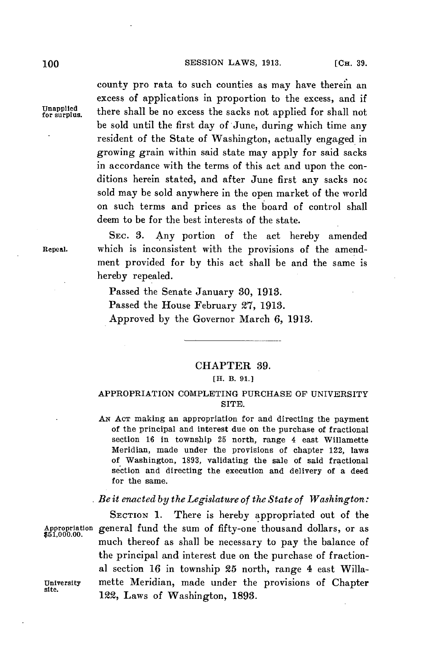county pro rata to such counties as may have therein an excess of applications in proportion to the excess, and if Unapplied there shall be no excess the sacks not applied for shall not be sold until the first day of June, during which time any resident of the State of Washington, actually engaged in growing grain within said state may apply for said sacks in accordance with the terms of this act and upon the conditions herein stated, and after June first any sacks noc sold may be sold anywhere in the open market of the world on such terms and prices as the board of control shall deem to be for the best interests of the state.

**SEC. 3.** Any portion of the act hereby amended Repeal. which is inconsistent with the provisions of the amendment provided for **by** this act shall be and the same is hereby repealed.

> Passed the Senate January **30, 1913.** Passed the House February **27, 1913.** Approved **by** the Governor March **6, 1913.**

### CHAPTER **39.**

# **[H. B. 91.1**

## APPROPRIATION COMPLETING **PURCHASE** OF UNIVERSITY SITE.

*AN* **ACT** making an appropriation for and directing the payment of the principal and interest due on the purchase of fractional section **16** in township **25** north, range 4 east Willamette Meridian, made under the provisions of chapter 122, laws of Washington, **1893,** validating the sale of said fractional section and directing the execution and delivery of a deed for the same.

## *Be it enacted by the Legislature of the State of Washington:*

SECTION **1.** There is hereby appropriated out of the Appropriation general fund the sum of fifty-one thousand dollars, or as much thereof as shall be necessary to pay the balance of the principal and interest due on the purchase of fractional section **16** in township **25** north, range 4 east Willa-University mette Meridian, made under the provisions of Chapter 122, Laws of Washington, **1893.**